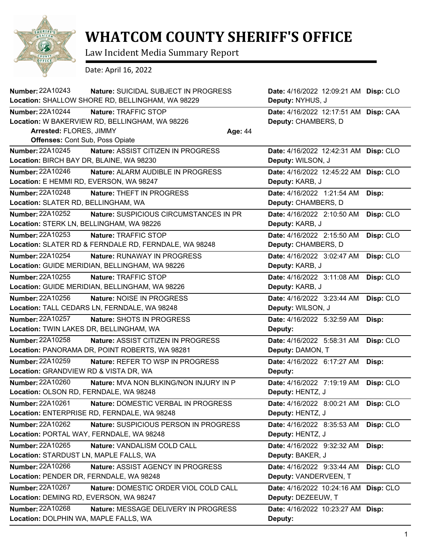

## **WHATCOM COUNTY SHERIFF'S OFFICE**

Law Incident Media Summary Report

Date: April 16, 2022

| Number: 22A10243                         | Nature: SUICIDAL SUBJECT IN PROGRESS<br>Location: SHALLOW SHORE RD, BELLINGHAM, WA 98229 |         | Date: 4/16/2022 12:09:21 AM Disp: CLO<br>Deputy: NYHUS, J |           |
|------------------------------------------|------------------------------------------------------------------------------------------|---------|-----------------------------------------------------------|-----------|
| Number: 22A10244                         | Nature: TRAFFIC STOP                                                                     |         | Date: 4/16/2022 12:17:51 AM Disp: CAA                     |           |
|                                          | Location: W BAKERVIEW RD, BELLINGHAM, WA 98226                                           |         | Deputy: CHAMBERS, D                                       |           |
| Arrested: FLORES, JIMMY                  |                                                                                          | Age: 44 |                                                           |           |
| <b>Offenses: Cont Sub, Poss Opiate</b>   |                                                                                          |         |                                                           |           |
| Number: 22A10245                         | Nature: ASSIST CITIZEN IN PROGRESS                                                       |         | Date: 4/16/2022 12:42:31 AM Disp: CLO                     |           |
| Location: BIRCH BAY DR, BLAINE, WA 98230 |                                                                                          |         | Deputy: WILSON, J                                         |           |
| Number: 22A10246                         | Nature: ALARM AUDIBLE IN PROGRESS                                                        |         | Date: 4/16/2022 12:45:22 AM Disp: CLO                     |           |
| Location: E HEMMI RD, EVERSON, WA 98247  |                                                                                          |         | Deputy: KARB, J                                           |           |
| Number: 22A10248                         | <b>Nature: THEFT IN PROGRESS</b>                                                         |         | Date: 4/16/2022 1:21:54 AM                                | Disp:     |
| Location: SLATER RD, BELLINGHAM, WA      |                                                                                          |         | Deputy: CHAMBERS, D                                       |           |
| Number: 22A10252                         | Nature: SUSPICIOUS CIRCUMSTANCES IN PR                                                   |         | Date: 4/16/2022 2:10:50 AM                                | Disp: CLO |
| Location: STERK LN, BELLINGHAM, WA 98226 |                                                                                          |         | Deputy: KARB, J                                           |           |
| Number: 22A10253                         | Nature: TRAFFIC STOP                                                                     |         | Date: 4/16/2022 2:15:50 AM                                | Disp: CLO |
|                                          | Location: SLATER RD & FERNDALE RD, FERNDALE, WA 98248                                    |         | Deputy: CHAMBERS, D                                       |           |
| Number: 22A10254                         | <b>Nature: RUNAWAY IN PROGRESS</b>                                                       |         | Date: 4/16/2022 3:02:47 AM                                | Disp: CLO |
|                                          | Location: GUIDE MERIDIAN, BELLINGHAM, WA 98226                                           |         | Deputy: KARB, J                                           |           |
| <b>Number: 22A10255</b>                  | Nature: TRAFFIC STOP                                                                     |         | Date: 4/16/2022 3:11:08 AM                                | Disp: CLO |
|                                          | Location: GUIDE MERIDIAN, BELLINGHAM, WA 98226                                           |         | Deputy: KARB, J                                           |           |
| Number: 22A10256                         | Nature: NOISE IN PROGRESS                                                                |         | Date: 4/16/2022 3:23:44 AM                                | Disp: CLO |
|                                          | Location: TALL CEDARS LN, FERNDALE, WA 98248                                             |         | Deputy: WILSON, J                                         |           |
| <b>Number: 22A10257</b>                  | Nature: SHOTS IN PROGRESS                                                                |         | Date: 4/16/2022 5:32:59 AM                                | Disp:     |
| Location: TWIN LAKES DR, BELLINGHAM, WA  |                                                                                          |         | Deputy:                                                   |           |
| Number: 22A10258                         | Nature: ASSIST CITIZEN IN PROGRESS                                                       |         | Date: 4/16/2022 5:58:31 AM                                | Disp: CLO |
|                                          | Location: PANORAMA DR, POINT ROBERTS, WA 98281                                           |         | Deputy: DAMON, T                                          |           |
| <b>Number: 22A10259</b>                  | Nature: REFER TO WSP IN PROGRESS                                                         |         | Date: 4/16/2022 6:17:27 AM                                | Disp:     |
| Location: GRANDVIEW RD & VISTA DR, WA    |                                                                                          |         | Deputy:                                                   |           |
| <b>Number: 22A10260</b>                  | Nature: MVA NON BLKING/NON INJURY IN P                                                   |         | Date: 4/16/2022 7:19:19 AM                                | Disp: CLO |
| Location: OLSON RD, FERNDALE, WA 98248   |                                                                                          |         | Deputy: HENTZ, J                                          |           |
| Number: 22A10261                         | Nature: DOMESTIC VERBAL IN PROGRESS                                                      |         | Date: 4/16/2022 8:00:21 AM                                | Disp: CLO |
|                                          | Location: ENTERPRISE RD, FERNDALE, WA 98248                                              |         | Deputy: HENTZ, J                                          |           |
| Number: 22A10262                         | Nature: SUSPICIOUS PERSON IN PROGRESS                                                    |         | Date: 4/16/2022 8:35:53 AM                                | Disp: CLO |
|                                          | Location: PORTAL WAY, FERNDALE, WA 98248                                                 |         | Deputy: HENTZ, J                                          |           |
| Number: 22A10265                         | Nature: VANDALISM COLD CALL                                                              |         | Date: 4/16/2022 9:32:32 AM                                | Disp:     |
| Location: STARDUST LN, MAPLE FALLS, WA   |                                                                                          |         | Deputy: BAKER, J                                          |           |
| Number: 22A10266                         | Nature: ASSIST AGENCY IN PROGRESS                                                        |         | Date: 4/16/2022 9:33:44 AM                                | Disp: CLO |
| Location: PENDER DR, FERNDALE, WA 98248  |                                                                                          |         | Deputy: VANDERVEEN, T                                     |           |
| <b>Number: 22A10267</b>                  | Nature: DOMESTIC ORDER VIOL COLD CALL                                                    |         | Date: 4/16/2022 10:24:16 AM                               | Disp: CLO |
| Location: DEMING RD, EVERSON, WA 98247   |                                                                                          |         | Deputy: DEZEEUW, T                                        |           |
| Number: 22A10268                         | Nature: MESSAGE DELIVERY IN PROGRESS                                                     |         | Date: 4/16/2022 10:23:27 AM                               | Disp:     |
| Location: DOLPHIN WA, MAPLE FALLS, WA    |                                                                                          |         | Deputy:                                                   |           |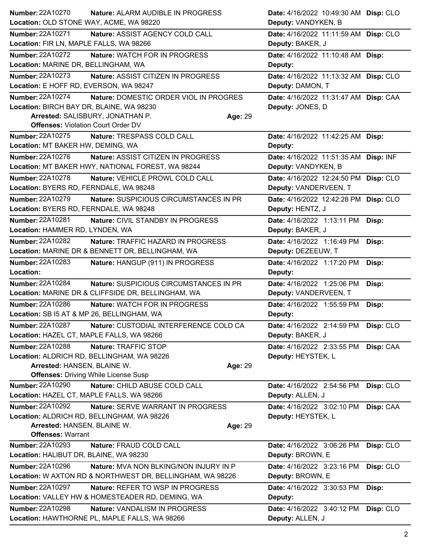| <b>Number: 22A10270</b>                                              | Nature: ALARM AUDIBLE IN PROGRESS                                               |         | Date: 4/16/2022 10:49:30 AM Disp: CLO          |           |
|----------------------------------------------------------------------|---------------------------------------------------------------------------------|---------|------------------------------------------------|-----------|
| Location: OLD STONE WAY, ACME, WA 98220                              |                                                                                 |         | Deputy: VANDYKEN, B                            |           |
| Number: 22A10271                                                     | Nature: ASSIST AGENCY COLD CALL                                                 |         | Date: 4/16/2022 11:11:59 AM Disp: CLO          |           |
| Location: FIR LN, MAPLE FALLS, WA 98266                              |                                                                                 |         | Deputy: BAKER, J                               |           |
| Number: 22A10272<br>Location: MARINE DR, BELLINGHAM, WA              | <b>Nature: WATCH FOR IN PROGRESS</b>                                            |         | Date: 4/16/2022 11:10:48 AM Disp:<br>Deputy:   |           |
| Number: 22A10273                                                     | Nature: ASSIST CITIZEN IN PROGRESS                                              |         | Date: 4/16/2022 11:13:32 AM Disp: CLO          |           |
| Location: E HOFF RD, EVERSON, WA 98247                               |                                                                                 |         | Deputy: DAMON, T                               |           |
| <b>Number: 22A10274</b>                                              | Nature: DOMESTIC ORDER VIOL IN PROGRES                                          |         | Date: 4/16/2022 11:31:47 AM Disp: CAA          |           |
| Location: BIRCH BAY DR, BLAINE, WA 98230                             |                                                                                 |         | Deputy: JONES, D                               |           |
|                                                                      | Arrested: SALISBURY, JONATHAN P.                                                | Age: 29 |                                                |           |
| <b>Offenses: Violation Court Order DV</b>                            |                                                                                 |         |                                                |           |
| Number: 22A10275                                                     | Nature: TRESPASS COLD CALL                                                      |         | Date: 4/16/2022 11:42:25 AM Disp:              |           |
| Location: MT BAKER HW, DEMING, WA                                    |                                                                                 |         | Deputy:                                        |           |
| Number: 22A10276                                                     | Nature: ASSIST CITIZEN IN PROGRESS                                              |         | Date: 4/16/2022 11:51:35 AM Disp: INF          |           |
|                                                                      | Location: MT BAKER HWY, NATIONAL FOREST, WA 98244                               |         | Deputy: VANDYKEN, B                            |           |
| Number: 22A10278                                                     | Nature: VEHICLE PROWL COLD CALL                                                 |         | Date: 4/16/2022 12:24:50 PM Disp: CLO          |           |
| Location: BYERS RD, FERNDALE, WA 98248                               |                                                                                 |         | Deputy: VANDERVEEN, T                          |           |
| <b>Number: 22A10279</b>                                              | Nature: SUSPICIOUS CIRCUMSTANCES IN PR                                          |         | Date: 4/16/2022 12:42:28 PM Disp: CLO          |           |
| Location: BYERS RD, FERNDALE, WA 98248                               |                                                                                 |         | Deputy: HENTZ, J                               |           |
| Number: 22A10281<br>Location: HAMMER RD, LYNDEN, WA                  | Nature: CIVIL STANDBY IN PROGRESS                                               |         | Date: 4/16/2022 1:13:11 PM<br>Deputy: BAKER, J | Disp:     |
| <b>Number: 22A10282</b>                                              | Nature: TRAFFIC HAZARD IN PROGRESS                                              |         | Date: 4/16/2022 1:16:49 PM                     |           |
|                                                                      | Location: MARINE DR & BENNETT DR, BELLINGHAM, WA                                |         | Deputy: DEZEEUW, T                             | Disp:     |
| Number: 22A10283                                                     | Nature: HANGUP (911) IN PROGRESS                                                |         | Date: 4/16/2022 1:17:20 PM                     |           |
| Location:                                                            |                                                                                 |         | Deputy:                                        | Disp:     |
| Number: 22A10284                                                     | Nature: SUSPICIOUS CIRCUMSTANCES IN PR                                          |         | Date: 4/16/2022 1:25:06 PM                     | Disp:     |
|                                                                      | Location: MARINE DR & CLIFFSIDE DR, BELLINGHAM, WA                              |         | Deputy: VANDERVEEN, T                          |           |
| Number: 22A10286                                                     | Nature: WATCH FOR IN PROGRESS                                                   |         | Date: 4/16/2022 1:55:59 PM                     | Disp:     |
| Location: SB I5 AT & MP 26, BELLINGHAM, WA                           |                                                                                 |         | Deputy:                                        |           |
| <b>Number: 22A10287</b>                                              | Nature: CUSTODIAL INTERFERENCE COLD CA                                          |         | Date: 4/16/2022 2:14:59 PM                     | Disp: CLO |
| Location: HAZEL CT, MAPLE FALLS, WA 98266                            |                                                                                 |         | Deputy: BAKER, J                               |           |
| Number: 22A10288                                                     | Nature: TRAFFIC STOP                                                            |         | Date: 4/16/2022 2:33:55 PM                     | Disp: CAA |
|                                                                      | Location: ALDRICH RD, BELLINGHAM, WA 98226                                      |         | Deputy: HEYSTEK, L                             |           |
| Arrested: HANSEN, BLAINE W.                                          |                                                                                 | Age: 29 |                                                |           |
|                                                                      | <b>Offenses: Driving While License Susp</b>                                     |         |                                                |           |
| <b>Number: 22A10290</b><br>Location: HAZEL CT, MAPLE FALLS, WA 98266 | Nature: CHILD ABUSE COLD CALL                                                   |         | Date: 4/16/2022 2:54:56 PM<br>Deputy: ALLEN, J | Disp: CLO |
|                                                                      |                                                                                 |         |                                                |           |
| <b>Number: 22A10292</b>                                              | Nature: SERVE WARRANT IN PROGRESS<br>Location: ALDRICH RD, BELLINGHAM, WA 98226 |         | Date: 4/16/2022 3:02:10 PM                     | Disp: CAA |
| Arrested: HANSEN, BLAINE W.                                          |                                                                                 | Age: 29 | Deputy: HEYSTEK, L                             |           |
| <b>Offenses: Warrant</b>                                             |                                                                                 |         |                                                |           |
| Number: 22A10293                                                     | Nature: FRAUD COLD CALL                                                         |         | Date: 4/16/2022 3:06:26 PM                     | Disp: CLO |
| Location: HALIBUT DR, BLAINE, WA 98230                               |                                                                                 |         | Deputy: BROWN, E                               |           |
| Number: 22A10296                                                     | <b>Nature: MVA NON BLKING/NON INJURY IN P</b>                                   |         | Date: 4/16/2022 3:23:16 PM                     | Disp: CLO |
|                                                                      | Location: W AXTON RD & NORTHWEST DR, BELLINGHAM, WA 98226                       |         | Deputy: BROWN, E                               |           |
| <b>Number: 22A10297</b>                                              | Nature: REFER TO WSP IN PROGRESS                                                |         | Date: 4/16/2022 3:30:53 PM                     | Disp:     |
|                                                                      | Location: VALLEY HW & HOMESTEADER RD, DEMING, WA                                |         | Deputy:                                        |           |
| Number: 22A10298                                                     | Nature: VANDALISM IN PROGRESS                                                   |         | Date: 4/16/2022 3:40:12 PM                     | Disp: CLO |
|                                                                      | Location: HAWTHORNE PL, MAPLE FALLS, WA 98266                                   |         | Deputy: ALLEN, J                               |           |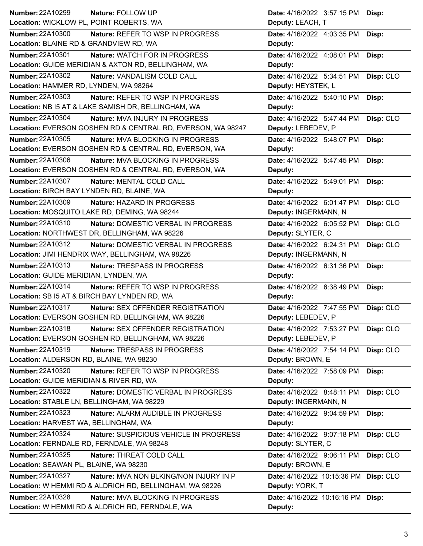| Number: 22A10299<br>Nature: FOLLOW UP                           |                                            | Date: 4/16/2022 3:57:15 PM            | Disp:     |
|-----------------------------------------------------------------|--------------------------------------------|---------------------------------------|-----------|
| Location: WICKLOW PL, POINT ROBERTS, WA                         |                                            | Deputy: LEACH, T                      |           |
| <b>Number: 22A10300</b>                                         | Nature: REFER TO WSP IN PROGRESS           | Date: 4/16/2022 4:03:35 PM            | Disp:     |
| Location: BLAINE RD & GRANDVIEW RD, WA                          |                                            | Deputy:                               |           |
| <b>Number: 22A10301</b><br><b>Nature: WATCH FOR IN PROGRESS</b> |                                            | Date: 4/16/2022 4:08:01 PM            | Disp:     |
| Location: GUIDE MERIDIAN & AXTON RD, BELLINGHAM, WA             |                                            | Deputy:                               |           |
| <b>Number: 22A10302</b><br>Nature: VANDALISM COLD CALL          |                                            | Date: 4/16/2022 5:34:51 PM            | Disp: CLO |
| Location: HAMMER RD, LYNDEN, WA 98264                           |                                            | Deputy: HEYSTEK, L                    |           |
| Number: 22A10303                                                | Nature: REFER TO WSP IN PROGRESS           | Date: 4/16/2022 5:40:10 PM            | Disp:     |
| Location: NB I5 AT & LAKE SAMISH DR, BELLINGHAM, WA             |                                            | Deputy:                               |           |
| Number: 22A10304<br>Nature: MVA INJURY IN PROGRESS              |                                            | Date: 4/16/2022 5:47:44 PM            | Disp: CLO |
| Location: EVERSON GOSHEN RD & CENTRAL RD, EVERSON, WA 98247     |                                            | Deputy: LEBEDEV, P                    |           |
| Number: 22A10305                                                | Nature: MVA BLOCKING IN PROGRESS           | Date: 4/16/2022 5:48:07 PM            | Disp:     |
| Location: EVERSON GOSHEN RD & CENTRAL RD, EVERSON, WA           |                                            | Deputy:                               |           |
| Number: 22A10306                                                | Nature: MVA BLOCKING IN PROGRESS           | Date: 4/16/2022 5:47:45 PM            | Disp:     |
| Location: EVERSON GOSHEN RD & CENTRAL RD, EVERSON, WA           |                                            | Deputy:                               |           |
| <b>Number: 22A10307</b><br>Nature: MENTAL COLD CALL             |                                            | Date: 4/16/2022 5:49:01 PM            | Disp:     |
| Location: BIRCH BAY LYNDEN RD, BLAINE, WA                       |                                            | Deputy:                               |           |
| Number: 22A10309<br>Nature: HAZARD IN PROGRESS                  |                                            | Date: 4/16/2022 6:01:47 PM            | Disp: CLO |
| Location: MOSQUITO LAKE RD, DEMING, WA 98244                    |                                            | Deputy: INGERMANN, N                  |           |
| Number: 22A10310                                                | <b>Nature: DOMESTIC VERBAL IN PROGRESS</b> | Date: 4/16/2022 6:05:52 PM            | Disp: CLO |
| Location: NORTHWEST DR, BELLINGHAM, WA 98226                    |                                            | Deputy: SLYTER, C                     |           |
| Number: 22A10312                                                | <b>Nature: DOMESTIC VERBAL IN PROGRESS</b> | Date: 4/16/2022 6:24:31 PM            | Disp: CLO |
| Location: JIMI HENDRIX WAY, BELLINGHAM, WA 98226                |                                            | Deputy: INGERMANN, N                  |           |
| Number: 22A10313<br>Nature: TRESPASS IN PROGRESS                |                                            | Date: 4/16/2022 6:31:36 PM            | Disp:     |
| Location: GUIDE MERIDIAN, LYNDEN, WA                            |                                            | Deputy:                               |           |
| Number: 22A10314                                                | Nature: REFER TO WSP IN PROGRESS           | Date: 4/16/2022 6:38:49 PM            | Disp:     |
| Location: SB I5 AT & BIRCH BAY LYNDEN RD, WA                    |                                            | Deputy:                               |           |
| Number: 22A10317                                                | Nature: SEX OFFENDER REGISTRATION          | Date: 4/16/2022 7:47:55 PM            | Disp: CLO |
| Location: EVERSON GOSHEN RD, BELLINGHAM, WA 98226               |                                            | Deputy: LEBEDEV, P                    |           |
| Number: 22A10318                                                | Nature: SEX OFFENDER REGISTRATION          | Date: 4/16/2022 7:53:27 PM            | Disp: CLO |
| Location: EVERSON GOSHEN RD, BELLINGHAM, WA 98226               |                                            | Deputy: LEBEDEV, P                    |           |
| Number: 22A10319<br>Nature: TRESPASS IN PROGRESS                |                                            | Date: 4/16/2022 7:54:14 PM            | Disp: CLO |
| Location: ALDERSON RD, BLAINE, WA 98230                         |                                            | Deputy: BROWN, E                      |           |
| Number: 22A10320                                                | Nature: REFER TO WSP IN PROGRESS           | Date: 4/16/2022 7:58:09 PM            | Disp:     |
| Location: GUIDE MERIDIAN & RIVER RD, WA                         |                                            | Deputy:                               |           |
| <b>Number: 22A10322</b>                                         | Nature: DOMESTIC VERBAL IN PROGRESS        | Date: 4/16/2022 8:48:11 PM            | Disp: CLO |
| Location: STABLE LN, BELLINGHAM, WA 98229                       |                                            | Deputy: INGERMANN, N                  |           |
| Number: 22A10323                                                | Nature: ALARM AUDIBLE IN PROGRESS          | Date: 4/16/2022 9:04:59 PM            | Disp:     |
| Location: HARVEST WA, BELLINGHAM, WA                            |                                            | Deputy:                               |           |
| <b>Number: 22A10324</b>                                         | Nature: SUSPICIOUS VEHICLE IN PROGRESS     | Date: 4/16/2022 9:07:18 PM            | Disp: CLO |
| Location: FERNDALE RD, FERNDALE, WA 98248                       |                                            | Deputy: SLYTER, C                     |           |
| Number: 22A10325<br>Nature: THREAT COLD CALL                    |                                            | Date: 4/16/2022 9:06:11 PM            | Disp: CLO |
| Location: SEAWAN PL, BLAINE, WA 98230                           |                                            | Deputy: BROWN, E                      |           |
| <b>Number: 22A10327</b>                                         | Nature: MVA NON BLKING/NON INJURY IN P     | Date: 4/16/2022 10:15:36 PM Disp: CLO |           |
| Location: W HEMMI RD & ALDRICH RD, BELLINGHAM, WA 98226         |                                            | Deputy: YORK, T                       |           |
| <b>Number: 22A10328</b>                                         | Nature: MVA BLOCKING IN PROGRESS           | Date: 4/16/2022 10:16:16 PM Disp:     |           |
| Location: W HEMMI RD & ALDRICH RD, FERNDALE, WA                 |                                            | Deputy:                               |           |